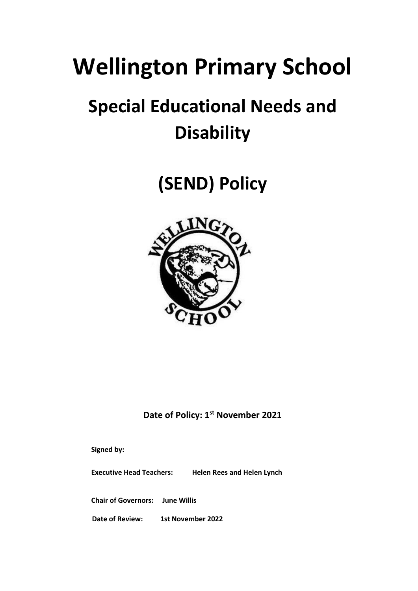# **Wellington Primary School**

## **Special Educational Needs and Disability**

**(SEND) Policy**



**Date of Policy: 1st November 2021**

**Signed by:**

**Executive Head Teachers: Helen Rees and Helen Lynch** 

**Chair of Governors: June Willis**

**Date of Review: 1st November 2022**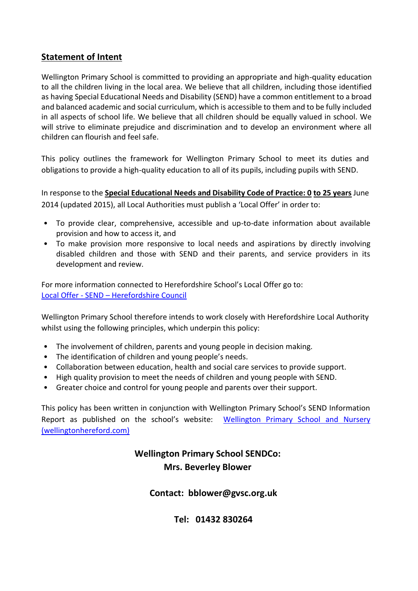#### **Statement of Intent**

Wellington Primary School is committed to providing an appropriate and high-quality education to all the children living in the local area. We believe that all children, including those identified as having Special Educational Needs and Disability (SEND) have a common entitlement to a broad and balanced academic and social curriculum, which is accessible to them and to be fully included in all aspects of school life. We believe that all children should be equally valued in school. We will strive to eliminate prejudice and discrimination and to develop an environment where all children can flourish and feel safe.

This policy outlines the framework for Wellington Primary School to meet its duties and obligations to provide a high-quality education to all of its pupils, including pupils with SEND.

In response to the **Special Educational Needs and Disability Code of Practice: 0 to 25 years** June 2014 (updated 2015), all Local Authorities must publish a 'Local Offer' in order to:

- To provide clear, comprehensive, accessible and up-to-date information about available provision and how to access it, and
- To make provision more responsive to local needs and aspirations by directly involving disabled children and those with SEND and their parents, and service providers in its development and review.

For more information connected to Herefordshire School's Local Offer go to: Local Offer - SEND – [Herefordshire Council](https://www.herefordshire.gov.uk/family-support/local-offer-4)

Wellington Primary School therefore intends to work closely with Herefordshire Local Authority whilst using the following principles, which underpin this policy:

- The involvement of children, parents and young people in decision making.
- The identification of children and young people's needs.
- Collaboration between education, health and social care services to provide support.
- High quality provision to meet the needs of children and young people with SEND.
- Greater choice and control for young people and parents over their support.

This policy has been written in conjunction with Wellington Primary School's SEND Information Report as published on the school's website: [Wellington Primary School and Nursery](https://www.wellingtonhereford.com/)  [\(wellingtonhereford.com\)](https://www.wellingtonhereford.com/)

## **Wellington Primary School SENDCo: Mrs. Beverley Blower**

#### **Contact: bblower@gvsc.org.uk**

**Tel: 01432 830264**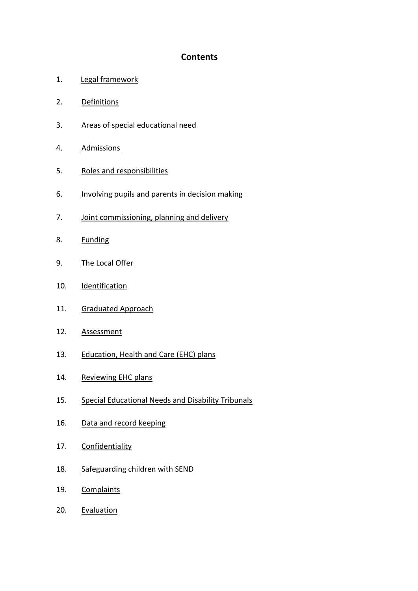#### **Contents**

- 1. Legal framework
- 2. Definitions
- 3. Areas of special educational need
- 4. Admissions
- 5. Roles and responsibilities
- 6. Involving pupils and parents in decision making
- 7. Joint commissioning, planning and delivery
- 8. Funding
- 9. The Local Offer
- 10. Identification
- 11. Graduated Approach
- 12. [Assessment](#page-8-0)
- 13. Education, Health and Care (EHC) plans
- 14. Reviewing EHC plans
- 15. Special Educational Needs and Disability Tribunals
- 16. Data and record keeping
- 17. Confidentiality
- 18. Safeguarding children with SEND
- 19. Complaints
- 20. Evaluation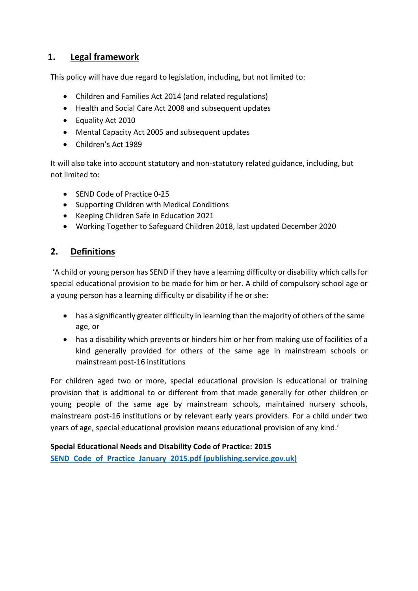## **1. Legal framework**

This policy will have due regard to legislation, including, but not limited to:

- Children and Families Act 2014 (and related regulations)
- Health and Social Care Act 2008 and subsequent updates
- Equality Act 2010
- Mental Capacity Act 2005 and subsequent updates
- Children's Act 1989

It will also take into account statutory and non-statutory related guidance, including, but not limited to:

- SEND Code of Practice 0-25
- Supporting Children with Medical Conditions
- Keeping Children Safe in Education 2021
- Working Together to Safeguard Children 2018, last updated December 2020

## **2. Definitions**

'A child or young person has SEND if they have a learning difficulty or disability which calls for special educational provision to be made for him or her. A child of compulsory school age or a young person has a learning difficulty or disability if he or she:

- has a significantly greater difficulty in learning than the majority of others of the same age, or
- has a disability which prevents or hinders him or her from making use of facilities of a kind generally provided for others of the same age in mainstream schools or mainstream post-16 institutions

For children aged two or more, special educational provision is educational or training provision that is additional to or different from that made generally for other children or young people of the same age by mainstream schools, maintained nursery schools, mainstream post-16 institutions or by relevant early years providers. For a child under two years of age, special educational provision means educational provision of any kind.'

**Special Educational Needs and Disability Code of Practice: 2015 [SEND\\_Code\\_of\\_Practice\\_January\\_2015.pdf \(publishing.service.gov.uk\)](https://assets.publishing.service.gov.uk/government/uploads/system/uploads/attachment_data/file/398815/SEND_Code_of_Practice_January_2015.pdf)**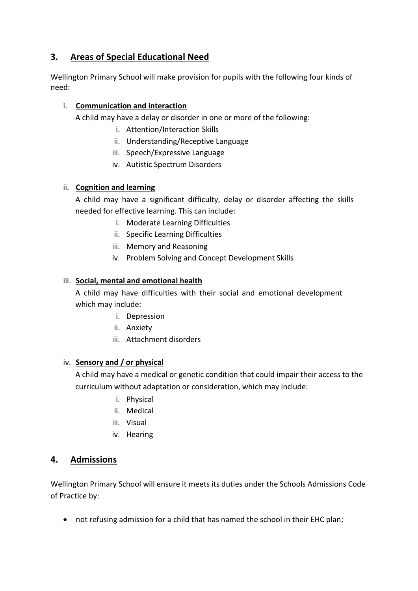## **3. Areas of Special Educational Need**

Wellington Primary School will make provision for pupils with the following four kinds of need:

#### i. **Communication and interaction**

A child may have a delay or disorder in one or more of the following:

- i. Attention/Interaction Skills
- ii. Understanding/Receptive Language
- iii. Speech/Expressive Language
- iv. Autistic Spectrum Disorders

#### ii. **Cognition and learning**

A child may have a significant difficulty, delay or disorder affecting the skills needed for effective learning. This can include:

- i. Moderate Learning Difficulties
- ii. Specific Learning Difficulties
- iii. Memory and Reasoning
- iv. Problem Solving and Concept Development Skills

#### iii. **Social, mental and emotional health**

A child may have difficulties with their social and emotional development which may include:

- i. Depression
- ii. Anxiety
- iii. Attachment disorders

#### iv. **Sensory and / or physical**

A child may have a medical or genetic condition that could impair their access to the curriculum without adaptation or consideration, which may include:

- i. Physical
- ii. Medical
- iii. Visual
- iv. Hearing

#### **4. Admissions**

Wellington Primary School will ensure it meets its duties under the Schools Admissions Code of Practice by:

not refusing admission for a child that has named the school in their EHC plan;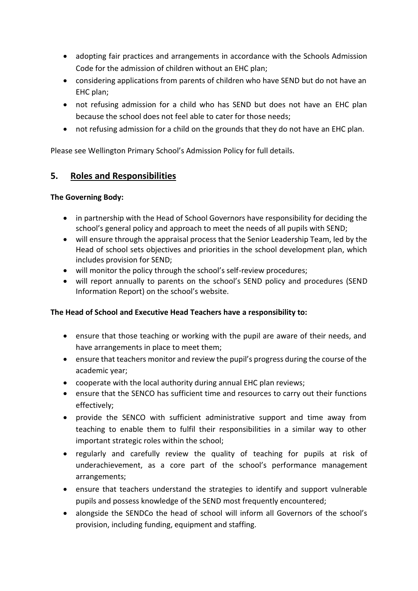- adopting fair practices and arrangements in accordance with the Schools Admission Code for the admission of children without an EHC plan;
- considering applications from parents of children who have SEND but do not have an EHC plan;
- not refusing admission for a child who has SEND but does not have an EHC plan because the school does not feel able to cater for those needs;
- not refusing admission for a child on the grounds that they do not have an EHC plan.

Please see Wellington Primary School's Admission Policy for full details.

#### **5. Roles and Responsibilities**

#### **The Governing Body:**

- in partnership with the Head of School Governors have responsibility for deciding the school's general policy and approach to meet the needs of all pupils with SEND;
- will ensure through the appraisal process that the Senior Leadership Team, led by the Head of school sets objectives and priorities in the school development plan, which includes provision for SEND;
- will monitor the policy through the school's self-review procedures;
- will report annually to parents on the school's SEND policy and procedures (SEND Information Report) on the school's website.

#### **The Head of School and Executive Head Teachers have a responsibility to:**

- ensure that those teaching or working with the pupil are aware of their needs, and have arrangements in place to meet them;
- ensure that teachers monitor and review the pupil's progress during the course of the academic year;
- cooperate with the local authority during annual EHC plan reviews;
- ensure that the SENCO has sufficient time and resources to carry out their functions effectively;
- provide the SENCO with sufficient administrative support and time away from teaching to enable them to fulfil their responsibilities in a similar way to other important strategic roles within the school;
- regularly and carefully review the quality of teaching for pupils at risk of underachievement, as a core part of the school's performance management arrangements;
- ensure that teachers understand the strategies to identify and support vulnerable pupils and possess knowledge of the SEND most frequently encountered;
- alongside the SENDCo the head of school will inform all Governors of the school's provision, including funding, equipment and staffing.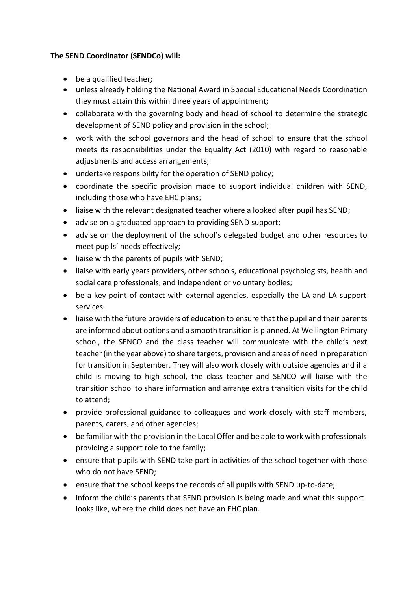#### **The SEND Coordinator (SENDCo) will:**

- be a qualified teacher;
- unless already holding the National Award in Special Educational Needs Coordination they must attain this within three years of appointment;
- collaborate with the governing body and head of school to determine the strategic development of SEND policy and provision in the school;
- work with the school governors and the head of school to ensure that the school meets its responsibilities under the Equality Act (2010) with regard to reasonable adjustments and access arrangements;
- undertake responsibility for the operation of SEND policy;
- coordinate the specific provision made to support individual children with SEND, including those who have EHC plans;
- liaise with the relevant designated teacher where a looked after pupil has SEND;
- advise on a graduated approach to providing SEND support;
- advise on the deployment of the school's delegated budget and other resources to meet pupils' needs effectively;
- liaise with the parents of pupils with SEND;
- liaise with early years providers, other schools, educational psychologists, health and social care professionals, and independent or voluntary bodies;
- be a key point of contact with external agencies, especially the LA and LA support services.
- liaise with the future providers of education to ensure that the pupil and their parents are informed about options and a smooth transition is planned. At Wellington Primary school, the SENCO and the class teacher will communicate with the child's next teacher (in the year above) to share targets, provision and areas of need in preparation for transition in September. They will also work closely with outside agencies and if a child is moving to high school, the class teacher and SENCO will liaise with the transition school to share information and arrange extra transition visits for the child to attend;
- provide professional guidance to colleagues and work closely with staff members, parents, carers, and other agencies;
- be familiar with the provision in the Local Offer and be able to work with professionals providing a support role to the family;
- ensure that pupils with SEND take part in activities of the school together with those who do not have SEND;
- ensure that the school keeps the records of all pupils with SEND up-to-date;
- inform the child's parents that SEND provision is being made and what this support looks like, where the child does not have an EHC plan.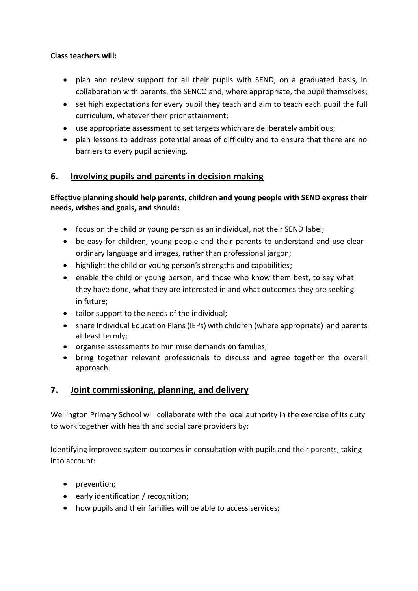#### **Class teachers will:**

- plan and review support for all their pupils with SEND, on a graduated basis, in collaboration with parents, the SENCO and, where appropriate, the pupil themselves;
- set high expectations for every pupil they teach and aim to teach each pupil the full curriculum, whatever their prior attainment;
- use appropriate assessment to set targets which are deliberately ambitious;
- plan lessons to address potential areas of difficulty and to ensure that there are no barriers to every pupil achieving.

## **6. Involving pupils and parents in decision making**

#### **Effective planning should help parents, children and young people with SEND express their needs, wishes and goals, and should:**

- focus on the child or young person as an individual, not their SEND label;
- be easy for children, young people and their parents to understand and use clear ordinary language and images, rather than professional jargon;
- highlight the child or young person's strengths and capabilities;
- enable the child or young person, and those who know them best, to say what they have done, what they are interested in and what outcomes they are seeking in future;
- tailor support to the needs of the individual;
- share Individual Education Plans (IEPs) with children (where appropriate) and parents at least termly;
- organise assessments to minimise demands on families;
- bring together relevant professionals to discuss and agree together the overall approach.

## **7. Joint commissioning, planning, and delivery**

Wellington Primary School will collaborate with the local authority in the exercise of its duty to work together with health and social care providers by:

Identifying improved system outcomes in consultation with pupils and their parents, taking into account:

- prevention;
- early identification / recognition;
- how pupils and their families will be able to access services;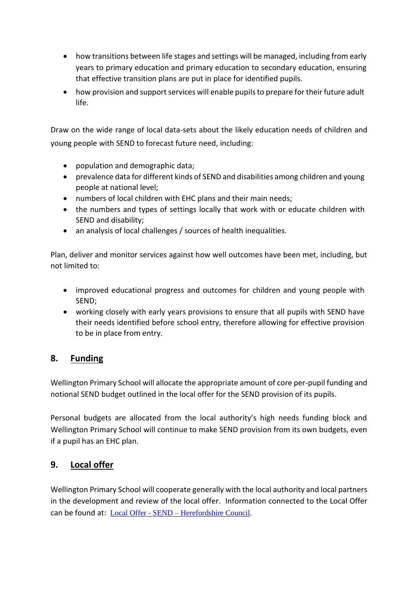- how transitions between life stages and settings will be managed, including from early years to primary education and primary education to secondary education, ensuring that effective transition plans are put in place for identified pupils.
- how provision and support services will enable pupils to prepare for their future adult life.

Draw on the wide range of local data-sets about the likely education needs of children and young people with SEND to forecast future need, including:

- population and demographic data;
- prevalence data for different kinds of SEND and disabilities among children and young people at national level;
- numbers of local children with EHC plans and their main needs;
- the numbers and types of settings locally that work with or educate children with SEND and disability;
- an analysis of local challenges / sources of health inequalities.

Plan, deliver and monitor services against how well outcomes have been met, including, but not limited to:

- improved educational progress and outcomes for children and young people with SEND;
- working closely with early years provisions to ensure that all pupils with SEND have their needs identified before school entry, therefore allowing for effective provision to be in place from entry.

## <span id="page-8-0"></span>**8. Funding**

Wellington Primary School will allocate the appropriate amount of core per-pupil funding and notional SEND budget outlined in the local offer for the SEND provision of its pupils.

Personal budgets are allocated from the local authority's high needs funding block and Wellington Primary School will continue to make SEND provision from its own budgets, even if a pupil has an EHC plan.

## **9. Local offer**

Wellington Primary School will cooperate generally with the local authority and local partners in the development and review of the local offer. Information connected to the Local Offer can be found at: Local Offer - SEND – [Herefordshire Council.](https://www.herefordshire.gov.uk/family-support/local-offer-4)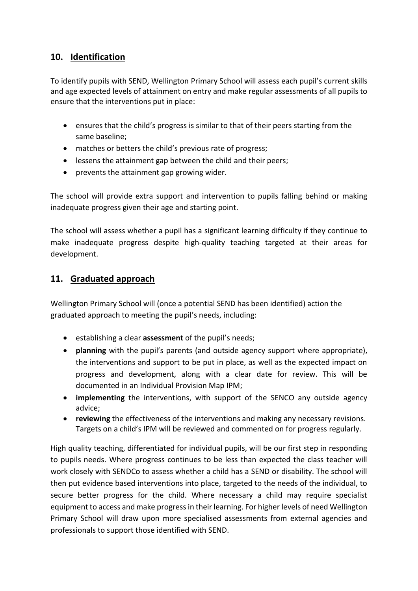## **10. Identification**

To identify pupils with SEND, Wellington Primary School will assess each pupil's current skills and age expected levels of attainment on entry and make regular assessments of all pupils to ensure that the interventions put in place:

- ensures that the child's progress is similar to that of their peers starting from the same baseline;
- matches or betters the child's previous rate of progress;
- lessens the attainment gap between the child and their peers;
- prevents the attainment gap growing wider.

The school will provide extra support and intervention to pupils falling behind or making inadequate progress given their age and starting point.

The school will assess whether a pupil has a significant learning difficulty if they continue to make inadequate progress despite high-quality teaching targeted at their areas for development.

## **11. Graduated approach**

Wellington Primary School will (once a potential SEND has been identified) action the graduated approach to meeting the pupil's needs, including:

- establishing a clear **assessment** of the pupil's needs;
- **planning** with the pupil's parents (and outside agency support where appropriate), the interventions and support to be put in place, as well as the expected impact on progress and development, along with a clear date for review. This will be documented in an Individual Provision Map IPM;
- **implementing** the interventions, with support of the SENCO any outside agency advice;
- **reviewing** the effectiveness of the interventions and making any necessary revisions. Targets on a child's IPM will be reviewed and commented on for progress regularly.

High quality teaching, differentiated for individual pupils, will be our first step in responding to pupils needs. Where progress continues to be less than expected the class teacher will work closely with SENDCo to assess whether a child has a SEND or disability. The school will then put evidence based interventions into place, targeted to the needs of the individual, to secure better progress for the child. Where necessary a child may require specialist equipment to access and make progress in their learning. For higher levels of need Wellington Primary School will draw upon more specialised assessments from external agencies and professionals to support those identified with SEND.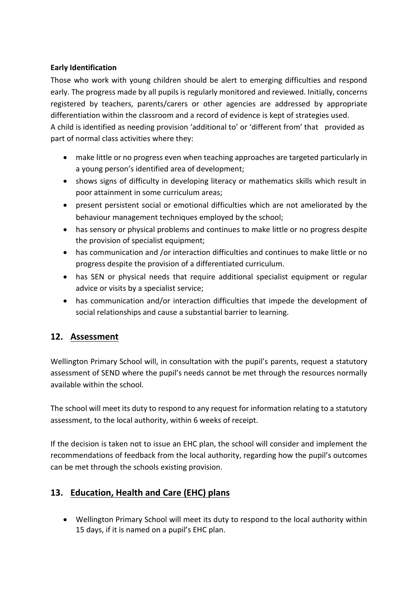#### **Early Identification**

Those who work with young children should be alert to emerging difficulties and respond early. The progress made by all pupils is regularly monitored and reviewed. Initially, concerns registered by teachers, parents/carers or other agencies are addressed by appropriate differentiation within the classroom and a record of evidence is kept of strategies used. A child is identified as needing provision 'additional to' or 'different from' that provided as part of normal class activities where they:

- make little or no progress even when teaching approaches are targeted particularly in a young person's identified area of development;
- shows signs of difficulty in developing literacy or mathematics skills which result in poor attainment in some curriculum areas;
- present persistent social or emotional difficulties which are not ameliorated by the behaviour management techniques employed by the school;
- has sensory or physical problems and continues to make little or no progress despite the provision of specialist equipment;
- has communication and /or interaction difficulties and continues to make little or no progress despite the provision of a differentiated curriculum.
- has SEN or physical needs that require additional specialist equipment or regular advice or visits by a specialist service;
- has communication and/or interaction difficulties that impede the development of social relationships and cause a substantial barrier to learning.

## **12. Assessment**

Wellington Primary School will, in consultation with the pupil's parents, request a statutory assessment of SEND where the pupil's needs cannot be met through the resources normally available within the school.

The school will meet its duty to respond to any request for information relating to a statutory assessment, to the local authority, within 6 weeks of receipt.

If the decision is taken not to issue an EHC plan, the school will consider and implement the recommendations of feedback from the local authority, regarding how the pupil's outcomes can be met through the schools existing provision.

## **13. Education, Health and Care (EHC) plans**

 Wellington Primary School will meet its duty to respond to the local authority within 15 days, if it is named on a pupil's EHC plan.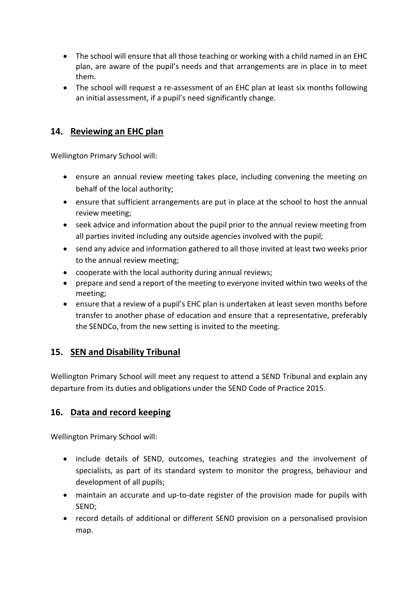- The school will ensure that all those teaching or working with a child named in an EHC plan, are aware of the pupil's needs and that arrangements are in place in to meet them.
- The school will request a re-assessment of an EHC plan at least six months following an initial assessment, if a pupil's need significantly change.

#### **14. Reviewing an EHC plan**

Wellington Primary School will:

- ensure an annual review meeting takes place, including convening the meeting on behalf of the local authority;
- ensure that sufficient arrangements are put in place at the school to host the annual review meeting;
- seek advice and information about the pupil prior to the annual review meeting from all parties invited including any outside agencies involved with the pupil;
- send any advice and information gathered to all those invited at least two weeks prior to the annual review meeting;
- cooperate with the local authority during annual reviews;
- prepare and send a report of the meeting to everyone invited within two weeks of the meeting;
- ensure that a review of a pupil's EHC plan is undertaken at least seven months before transfer to another phase of education and ensure that a representative, preferably the SENDCo, from the new setting is invited to the meeting.

## **15. SEN and Disability Tribunal**

Wellington Primary School will meet any request to attend a SEND Tribunal and explain any departure from its duties and obligations under the SEND Code of Practice 2015.

## **16. Data and record keeping**

Wellington Primary School will:

- include details of SEND, outcomes, teaching strategies and the involvement of specialists, as part of its standard system to monitor the progress, behaviour and development of all pupils;
- maintain an accurate and up-to-date register of the provision made for pupils with SEND;
- record details of additional or different SEND provision on a personalised provision map.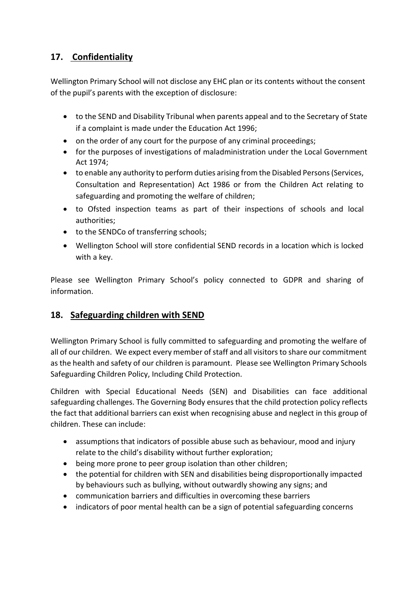## **17. Confidentiality**

Wellington Primary School will not disclose any EHC plan or its contents without the consent of the pupil's parents with the exception of disclosure:

- to the SEND and Disability Tribunal when parents appeal and to the Secretary of State if a complaint is made under the Education Act 1996;
- on the order of any court for the purpose of any criminal proceedings;
- for the purposes of investigations of maladministration under the Local Government Act 1974;
- to enable any authority to perform duties arising from the Disabled Persons (Services, Consultation and Representation) Act 1986 or from the Children Act relating to safeguarding and promoting the welfare of children;
- to Ofsted inspection teams as part of their inspections of schools and local authorities;
- to the SENDCo of transferring schools;
- Wellington School will store confidential SEND records in a location which is locked with a key.

Please see Wellington Primary School's policy connected to GDPR and sharing of information.

## **18. Safeguarding children with SEND**

Wellington Primary School is fully committed to safeguarding and promoting the welfare of all of our children. We expect every member of staff and all visitors to share our commitment as the health and safety of our children is paramount. Please see Wellington Primary Schools Safeguarding Children Policy, Including Child Protection.

Children with Special Educational Needs (SEN) and Disabilities can face additional safeguarding challenges. The Governing Body ensures that the child protection policy reflects the fact that additional barriers can exist when recognising abuse and neglect in this group of children. These can include:

- assumptions that indicators of possible abuse such as behaviour, mood and injury relate to the child's disability without further exploration;
- being more prone to peer group isolation than other children;
- the potential for children with SEN and disabilities being disproportionally impacted by behaviours such as bullying, without outwardly showing any signs; and
- communication barriers and difficulties in overcoming these barriers
- indicators of poor mental health can be a sign of potential safeguarding concerns